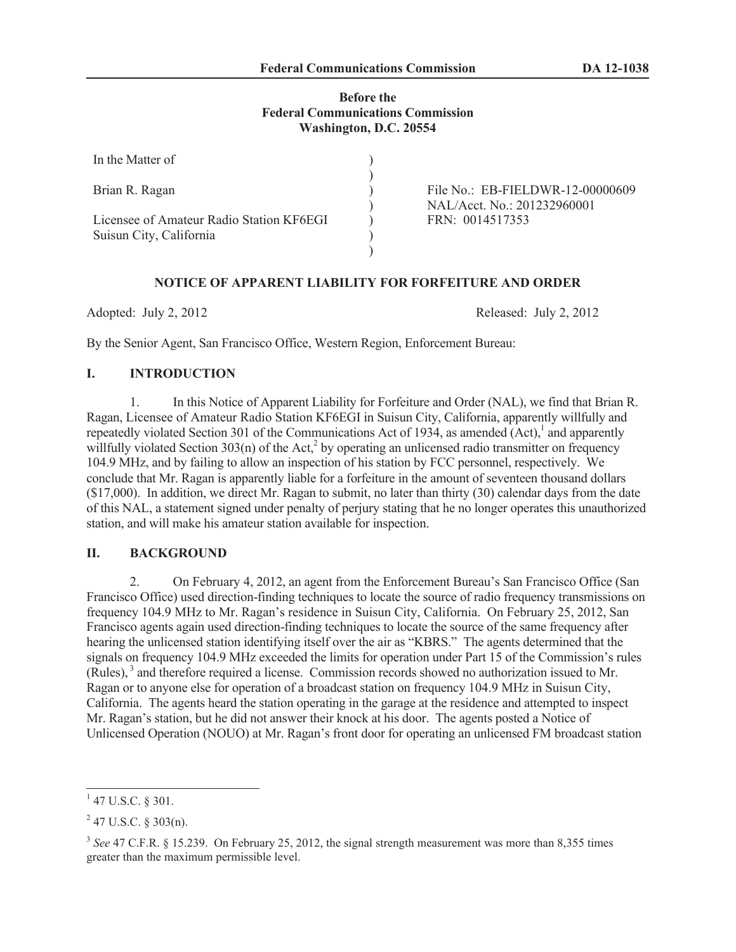# **Before the Federal Communications Commission Washington, D.C. 20554**

| In the Matter of                         |                                  |
|------------------------------------------|----------------------------------|
|                                          |                                  |
| Brian R. Ragan                           | File No.: EB-FIELDWR-12-00000609 |
|                                          | NAL/Acct. No.: 201232960001      |
| Licensee of Amateur Radio Station KF6EGI | FRN: 0014517353                  |
| Suisun City, California                  |                                  |
|                                          |                                  |

## **NOTICE OF APPARENT LIABILITY FOR FORFEITURE AND ORDER**

Adopted: July 2, 2012 Released: July 2, 2012

By the Senior Agent, San Francisco Office, Western Region, Enforcement Bureau:

## **I. INTRODUCTION**

1. In this Notice of Apparent Liability for Forfeiture and Order (NAL), we find that Brian R. Ragan, Licensee of Amateur Radio Station KF6EGI in Suisun City, California, apparently willfully and repeatedly violated Section 301 of the Communications Act of 1934, as amended  $(Act)$ ,<sup>1</sup> and apparently willfully violated Section  $303(n)$  of the Act,<sup>2</sup> by operating an unlicensed radio transmitter on frequency 104.9 MHz, and by failing to allow an inspection of his station by FCC personnel, respectively. We conclude that Mr. Ragan is apparently liable for a forfeiture in the amount of seventeen thousand dollars (\$17,000). In addition, we direct Mr. Ragan to submit, no later than thirty (30) calendar days from the date of this NAL, a statement signed under penalty of perjury stating that he no longer operates this unauthorized station, and will make his amateur station available for inspection.

#### **II. BACKGROUND**

2. On February 4, 2012, an agent from the Enforcement Bureau's San Francisco Office (San Francisco Office) used direction-finding techniques to locate the source of radio frequency transmissions on frequency 104.9 MHz to Mr. Ragan's residence in Suisun City, California. On February 25, 2012, San Francisco agents again used direction-finding techniques to locate the source of the same frequency after hearing the unlicensed station identifying itself over the air as "KBRS." The agents determined that the signals on frequency 104.9 MHz exceeded the limits for operation under Part 15 of the Commission's rules (Rules),<sup>3</sup> and therefore required a license. Commission records showed no authorization issued to Mr. Ragan or to anyone else for operation of a broadcast station on frequency 104.9 MHz in Suisun City, California. The agents heard the station operating in the garage at the residence and attempted to inspect Mr. Ragan's station, but he did not answer their knock at his door. The agents posted a Notice of Unlicensed Operation (NOUO) at Mr. Ragan's front door for operating an unlicensed FM broadcast station

 $1$  47 U.S.C. § 301.

 $2$  47 U.S.C. § 303(n).

<sup>&</sup>lt;sup>3</sup> See 47 C.F.R. § 15.239. On February 25, 2012, the signal strength measurement was more than 8,355 times greater than the maximum permissible level.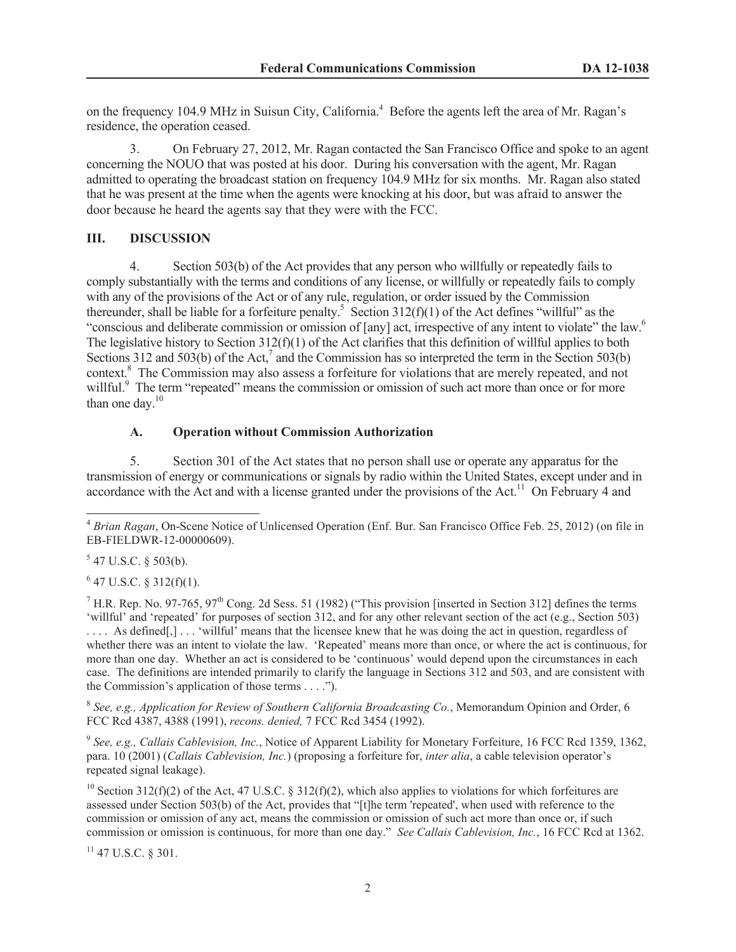on the frequency 104.9 MHz in Suisun City, California. <sup>4</sup> Before the agents left the area of Mr. Ragan's residence, the operation ceased.

3. On February 27, 2012, Mr. Ragan contacted the San Francisco Office and spoke to an agent concerning the NOUO that was posted at his door. During his conversation with the agent, Mr. Ragan admitted to operating the broadcast station on frequency 104.9 MHz for six months. Mr. Ragan also stated that he was present at the time when the agents were knocking at his door, but was afraid to answer the door because he heard the agents say that they were with the FCC.

## **III. DISCUSSION**

4. Section 503(b) of the Act provides that any person who willfully or repeatedly fails to comply substantially with the terms and conditions of any license, or willfully or repeatedly fails to comply with any of the provisions of the Act or of any rule, regulation, or order issued by the Commission thereunder, shall be liable for a forfeiture penalty.<sup>5</sup> Section  $312(f)(1)$  of the Act defines "willful" as the "conscious and deliberate commission or omission of [any] act, irrespective of any intent to violate" the law.<sup>6</sup> The legislative history to Section  $312(f)(1)$  of the Act clarifies that this definition of willful applies to both Sections 312 and 503(b) of the Act,<sup>7</sup> and the Commission has so interpreted the term in the Section 503(b) context.<sup>8</sup> The Commission may also assess a forfeiture for violations that are merely repeated, and not willful.<sup>9</sup> The term "repeated" means the commission or omission of such act more than once or for more than one day.<sup>10</sup>

# **A. Operation without Commission Authorization**

5. Section 301 of the Act states that no person shall use or operate any apparatus for the transmission of energy or communications or signals by radio within the United States, except under and in accordance with the Act and with a license granted under the provisions of the Act.<sup>11</sup> On February 4 and

 $547$  U.S.C. § 503(b).

 $6$  47 U.S.C. § 312(f)(1).

 $^7$  H.R. Rep. No. 97-765, 97<sup>th</sup> Cong. 2d Sess. 51 (1982) ("This provision [inserted in Section 312] defines the terms 'willful' and 'repeated' for purposes of section 312, and for any other relevant section of the act (e.g., Section 503) . . . . As defined[,] . . . 'willful' means that the licensee knew that he was doing the act in question, regardless of whether there was an intent to violate the law. 'Repeated' means more than once, or where the act is continuous, for more than one day. Whether an act is considered to be 'continuous' would depend upon the circumstances in each case. The definitions are intended primarily to clarify the language in Sections 312 and 503, and are consistent with the Commission's application of those terms . . . .").

8 *See, e.g., Application for Review of Southern California Broadcasting Co.*, Memorandum Opinion and Order, 6 FCC Rcd 4387, 4388 (1991), *recons. denied,* 7 FCC Rcd 3454 (1992).

9 *See, e.g., Callais Cablevision, Inc.*, Notice of Apparent Liability for Monetary Forfeiture, 16 FCC Rcd 1359, 1362, para. 10 (2001) (*Callais Cablevision, Inc.*) (proposing a forfeiture for, *inter alia*, a cable television operator's repeated signal leakage).

<sup>10</sup> Section 312(f)(2) of the Act, 47 U.S.C. § 312(f)(2), which also applies to violations for which forfeitures are assessed under Section 503(b) of the Act, provides that "[t]he term 'repeated', when used with reference to the commission or omission of any act, means the commission or omission of such act more than once or, if such commission or omission is continuous, for more than one day." *See Callais Cablevision, Inc.*, 16 FCC Rcd at 1362.

<sup>11</sup> 47 U.S.C. § 301.

<sup>4</sup> *Brian Ragan*, On-Scene Notice of Unlicensed Operation (Enf. Bur. San Francisco Office Feb. 25, 2012) (on file in EB-FIELDWR-12-00000609).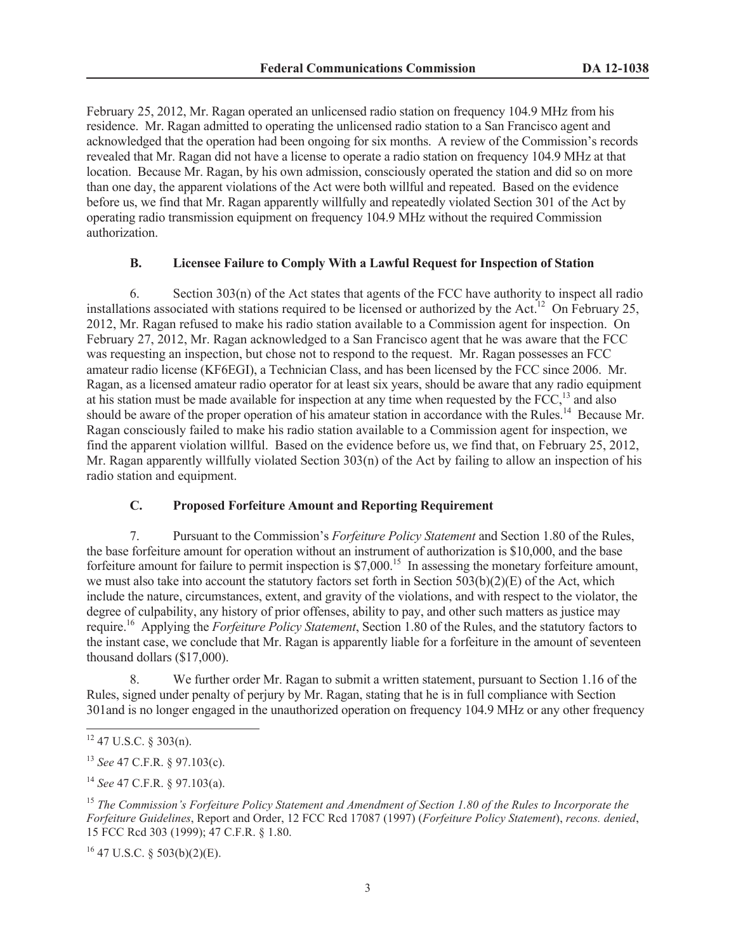February 25, 2012, Mr. Ragan operated an unlicensed radio station on frequency 104.9 MHz from his residence. Mr. Ragan admitted to operating the unlicensed radio station to a San Francisco agent and acknowledged that the operation had been ongoing for six months. A review of the Commission's records revealed that Mr. Ragan did not have a license to operate a radio station on frequency 104.9 MHz at that location. Because Mr. Ragan, by his own admission, consciously operated the station and did so on more than one day, the apparent violations of the Act were both willful and repeated. Based on the evidence before us, we find that Mr. Ragan apparently willfully and repeatedly violated Section 301 of the Act by operating radio transmission equipment on frequency 104.9 MHz without the required Commission authorization.

#### **B. Licensee Failure to Comply With a Lawful Request for Inspection of Station**

6. Section 303(n) of the Act states that agents of the FCC have authority to inspect all radio installations associated with stations required to be licensed or authorized by the Act.<sup>12</sup> On February 25, 2012, Mr. Ragan refused to make his radio station available to a Commission agent for inspection. On February 27, 2012, Mr. Ragan acknowledged to a San Francisco agent that he was aware that the FCC was requesting an inspection, but chose not to respond to the request. Mr. Ragan possesses an FCC amateur radio license (KF6EGI), a Technician Class, and has been licensed by the FCC since 2006. Mr. Ragan, as a licensed amateur radio operator for at least six years, should be aware that any radio equipment at his station must be made available for inspection at any time when requested by the  $FCC$ ,<sup>13</sup> and also should be aware of the proper operation of his amateur station in accordance with the Rules.<sup>14</sup> Because Mr. Ragan consciously failed to make his radio station available to a Commission agent for inspection, we find the apparent violation willful. Based on the evidence before us, we find that, on February 25, 2012, Mr. Ragan apparently willfully violated Section 303(n) of the Act by failing to allow an inspection of his radio station and equipment.

# **C. Proposed Forfeiture Amount and Reporting Requirement**

7. Pursuant to the Commission's *Forfeiture Policy Statement* and Section 1.80 of the Rules, the base forfeiture amount for operation without an instrument of authorization is \$10,000, and the base forfeiture amount for failure to permit inspection is \$7,000.<sup>15</sup> In assessing the monetary forfeiture amount, we must also take into account the statutory factors set forth in Section  $503(b)(2)(E)$  of the Act, which include the nature, circumstances, extent, and gravity of the violations, and with respect to the violator, the degree of culpability, any history of prior offenses, ability to pay, and other such matters as justice may require.<sup>16</sup> Applying the *Forfeiture Policy Statement*, Section 1.80 of the Rules, and the statutory factors to the instant case, we conclude that Mr. Ragan is apparently liable for a forfeiture in the amount of seventeen thousand dollars (\$17,000).

8. We further order Mr. Ragan to submit a written statement, pursuant to Section 1.16 of the Rules, signed under penalty of perjury by Mr. Ragan, stating that he is in full compliance with Section 301and is no longer engaged in the unauthorized operation on frequency 104.9 MHz or any other frequency

 $16$  47 U.S.C. § 503(b)(2)(E).

 $12$  47 U.S.C. § 303(n).

<sup>13</sup> *See* 47 C.F.R. § 97.103(c).

<sup>14</sup> *See* 47 C.F.R. § 97.103(a).

<sup>15</sup> *The Commission's Forfeiture Policy Statement and Amendment of Section 1.80 of the Rules to Incorporate the Forfeiture Guidelines*, Report and Order, 12 FCC Rcd 17087 (1997) (*Forfeiture Policy Statement*), *recons. denied*, 15 FCC Rcd 303 (1999); 47 C.F.R. § 1.80.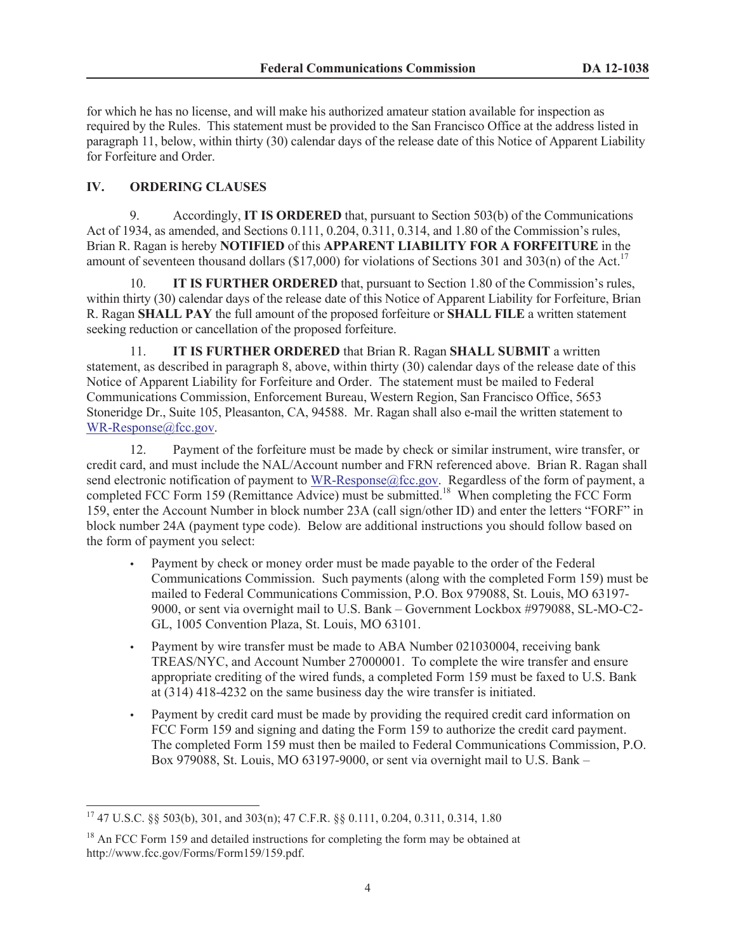for which he has no license, and will make his authorized amateur station available for inspection as required by the Rules. This statement must be provided to the San Francisco Office at the address listed in paragraph 11, below, within thirty (30) calendar days of the release date of this Notice of Apparent Liability for Forfeiture and Order.

# **IV. ORDERING CLAUSES**

9. Accordingly, **IT IS ORDERED** that, pursuant to Section 503(b) of the Communications Act of 1934, as amended, and Sections 0.111, 0.204, 0.311, 0.314, and 1.80 of the Commission's rules, Brian R. Ragan is hereby **NOTIFIED** of this **APPARENT LIABILITY FOR A FORFEITURE** in the amount of seventeen thousand dollars (\$17,000) for violations of Sections 301 and 303(n) of the Act.<sup>17</sup>

10. **IT IS FURTHER ORDERED** that, pursuant to Section 1.80 of the Commission's rules, within thirty (30) calendar days of the release date of this Notice of Apparent Liability for Forfeiture, Brian R. Ragan **SHALL PAY** the full amount of the proposed forfeiture or **SHALL FILE** a written statement seeking reduction or cancellation of the proposed forfeiture.

11. **IT IS FURTHER ORDERED** that Brian R. Ragan **SHALL SUBMIT** a written statement, as described in paragraph 8, above, within thirty (30) calendar days of the release date of this Notice of Apparent Liability for Forfeiture and Order. The statement must be mailed to Federal Communications Commission, Enforcement Bureau, Western Region, San Francisco Office, 5653 Stoneridge Dr., Suite 105, Pleasanton, CA, 94588. Mr. Ragan shall also e-mail the written statement to WR-Response@fcc.gov.

12. Payment of the forfeiture must be made by check or similar instrument, wire transfer, or credit card, and must include the NAL/Account number and FRN referenced above. Brian R. Ragan shall send electronic notification of payment to WR-Response@fcc.gov. Regardless of the form of payment, a completed FCC Form 159 (Remittance Advice) must be submitted.<sup>18</sup> When completing the FCC Form 159, enter the Account Number in block number 23A (call sign/other ID) and enter the letters "FORF" in block number 24A (payment type code). Below are additional instructions you should follow based on the form of payment you select:

- Payment by check or money order must be made payable to the order of the Federal Communications Commission. Such payments (along with the completed Form 159) must be mailed to Federal Communications Commission, P.O. Box 979088, St. Louis, MO 63197- 9000, or sent via overnight mail to U.S. Bank – Government Lockbox #979088, SL-MO-C2- GL, 1005 Convention Plaza, St. Louis, MO 63101.
- Payment by wire transfer must be made to ABA Number 021030004, receiving bank TREAS/NYC, and Account Number 27000001. To complete the wire transfer and ensure appropriate crediting of the wired funds, a completed Form 159 must be faxed to U.S. Bank at (314) 418-4232 on the same business day the wire transfer is initiated.
- Payment by credit card must be made by providing the required credit card information on FCC Form 159 and signing and dating the Form 159 to authorize the credit card payment. The completed Form 159 must then be mailed to Federal Communications Commission, P.O. Box 979088, St. Louis, MO 63197-9000, or sent via overnight mail to U.S. Bank –

<sup>17</sup> 47 U.S.C. §§ 503(b), 301, and 303(n); 47 C.F.R. §§ 0.111, 0.204, 0.311, 0.314, 1.80

<sup>&</sup>lt;sup>18</sup> An FCC Form 159 and detailed instructions for completing the form may be obtained at http://www.fcc.gov/Forms/Form159/159.pdf.